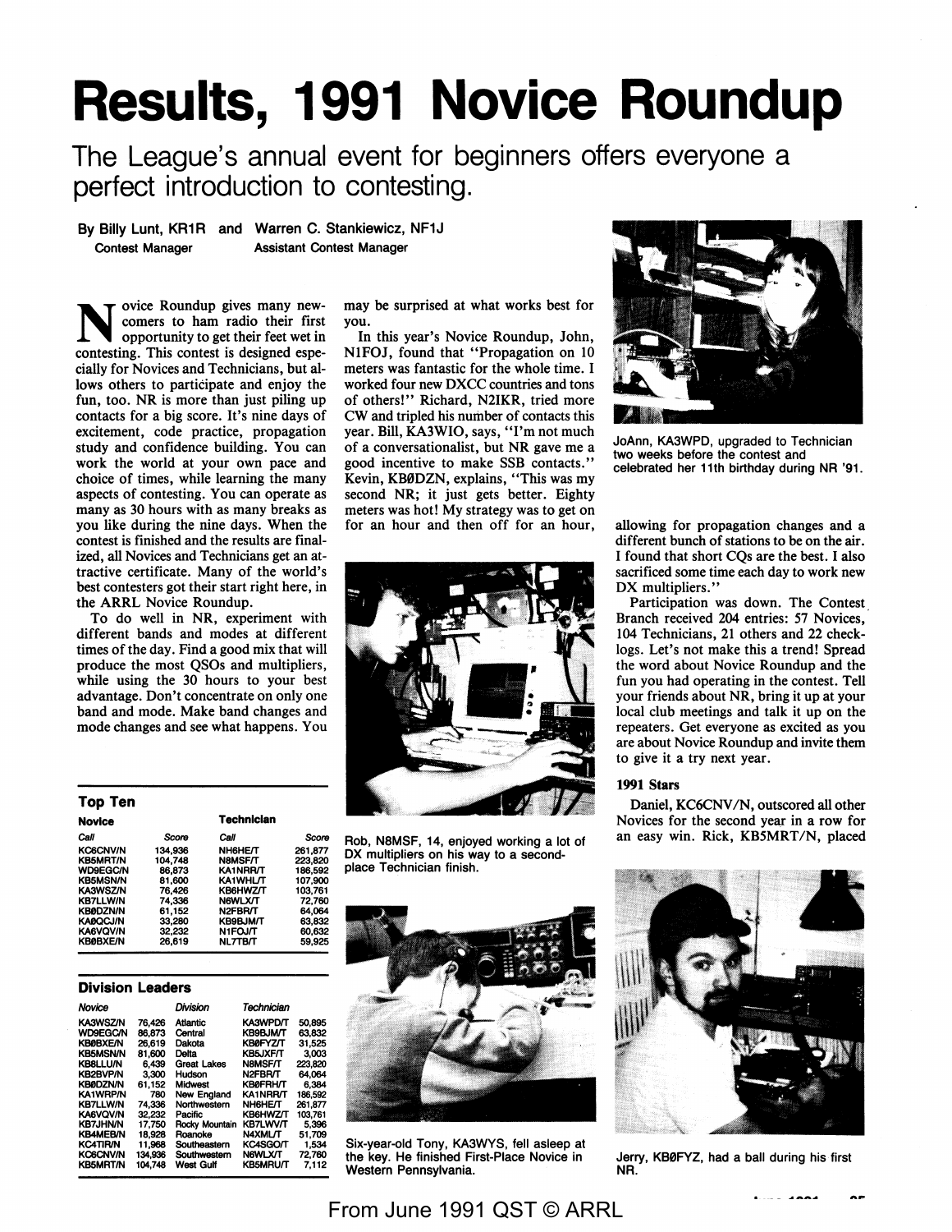# **Results, 1991 Novice Roundup**

The League's annual event for beginners offers everyone a perfect introduction to contesting.

**By Billy** Lunt, KR1R and Warren C. Stankiewicz, NF1J Contest Manager Assistant Contest Manager

ovice Roundup gives many newcomers to ham radio their first opportunity to get their feet wet in contesting. This contest is designed especially for Novices and Technicians, but allows others to participate and enjoy the fun, too. NR is more than just piling up contacts for a big score. It's nine days of excitement, code practice, propagation study and confidence building. You can work the world at your own pace and choice of times, while learning the many aspects of contesting. You can operate as many as 30 hours with as many breaks as you like during the nine days. When the contest is finished and the results are finalized, all Novices and Technicians get an attractive certificate. Many of the world's best contesters got their start right here, in the **ARRL** Novice Roundup.

To do well in NR, experiment with different bands and modes at different times of the day. Find a good mix that will produce the most QSOs and multipliers, while using the 30 hours to your best advantage. Don't concentrate on only one band and mode. Make band changes and mode changes and see what happens. You

| ושו עטו         |         |                   |         |
|-----------------|---------|-------------------|---------|
| <b>Novice</b>   |         | <b>Technician</b> |         |
| Call            | Score   | Call              | Score   |
| <b>KC6CNV/N</b> | 134.936 | <b>NH6HE/T</b>    | 261.877 |
| <b>KB5MRT/N</b> | 104.748 | <b>N8MSF/T</b>    | 223.820 |
| <b>WD9EGC/N</b> | 86.873  | KA1NRR/T          | 186.592 |
| <b>KB5MSN/N</b> | 81.600  | <b>KA1WHL/T</b>   | 107.900 |
| <b>KA3WSZ/N</b> | 76.426  | KB6HWZ/T          | 103.761 |
| <b>KB7LLW/N</b> | 74.336  | <b>NGWLX/T</b>    | 72.760  |
| <b>KB0DZN/N</b> | 61.152  | N2FBR/T           | 64.064  |
| <b>KAØQCJ/N</b> | 33.280  | <b>KB9BJM/T</b>   | 63.832  |
| <b>KA6VQV/N</b> | 32.232  | N1FOJ/T           | 60,632  |
| <b>KBØBXE/N</b> | 26.619  | <b>NL7TB/T</b>    | 59.925  |

#### **Division Leaders**

**Top Ten** 

| Novice          |         | Division           | Technician      |         |
|-----------------|---------|--------------------|-----------------|---------|
| KA3WSZ/N        | 76.426  | Atlantic           | <b>KA3WPD/T</b> | 50.895  |
| <b>WD9EGC/N</b> | 86.873  | Central            | <b>KB9BJM/T</b> | 63.832  |
| <b>KB0BXE/N</b> | 26.619  | Dakota             | <b>KBØFYZ/T</b> | 31.525  |
| <b>KB5MSN/N</b> | 81.600  | Delta              | <b>KB5JXF/T</b> | 3.003   |
| <b>KB8LLU/N</b> | 6.439   | <b>Great Lakes</b> | N8MSF/T         | 223.820 |
| <b>KB2BVP/N</b> | 3.300   | Hudson             | N2FBR/T         | 64.064  |
| <b>KBØDZN/N</b> | 61.152  | Midwest            | <b>KB0FRH/T</b> | 6.384   |
| <b>KA1WRP/N</b> | 780     | New England        | <b>KA1NRR/T</b> | 186.592 |
| <b>KB7LLW/N</b> | 74.336  | Northwestern       | <b>NH6HE/T</b>  | 261.877 |
| <b>KA6VOV/N</b> | 32.232  | Pacific            | <b>KB6HWZ/T</b> | 103.761 |
| <b>KB7JHN/N</b> | 17.750  | Rocky Mountain     | <b>KB7LWV/T</b> | 5.396   |
| <b>KB4MEB/N</b> | 18.928  | Roanoke            | <b>N4XML/T</b>  | 51.709  |
| <b>KC4TIR/N</b> | 11.968  | Southeastern       | <b>KC4SGO/T</b> | 1.534   |
| <b>KC6CNV/N</b> | 134,936 | Southwestern       | <b>N6WLX/T</b>  | 72.760  |
| <b>KB5MRT/N</b> | 104.748 | <b>West Gulf</b>   | <b>KB5MRU/T</b> | 7.112   |

may be surprised at what works best for you.

In this year's Novice Roundup, John, NlFOJ, found that "Propagation on 10 meters was fantastic for the whole time. I worked four new DXCC countries and tons of others!" Richard, N2IKR, tried more CW and tripled his number of contacts this year. Bill, KA3WIO, says, "I'm not much of a conversationalist, but NR gave me a good incentive to make SSB contacts." Kevin, KB0DZN, explains, "This was my second **NR;** it just gets better. Eighty meters was hot! My strategy was to get on for an hour and then off for an hour,



Rob, NBMSF, 14, enjoyed working a lot of DX multipliers on his way to a secondplace Technician finish.



Six-year-old Tony, KA3WYS, fell asleep at the key. He finished First-Place Novice in Western Pennsylvania.



JoAnn, KA3WPD, upgraded to Technician two weeks before the contest and celebrated her 11th birthday during NR '91.

allowing for propagation changes and a different bunch of stations to be on the air. I found that short CQs are the best. I also sacrificed some time each day to work new DX multipliers."

Participation was down. The Contest Branch received 204 entries: 57 Novices, 104 Technicians, 21 others and 22 checklogs. Let's not make this a trend! Spread the word about Novice Roundup and the fun you had operating in the contest. Tell your friends about NR, bring it up at your local club meetings and talk it up on the repeaters. Get everyone as excited as you are about Novice Roundup and invite them to give it a try next year.

#### **1991 Stars**

Daniel, KC6CNV *IN,* outscored all other Novices for the second year in a row for an easy win. Rick, KB5MRT/N, placed



Jerry, KB0FYZ, had a ball during his first NR.